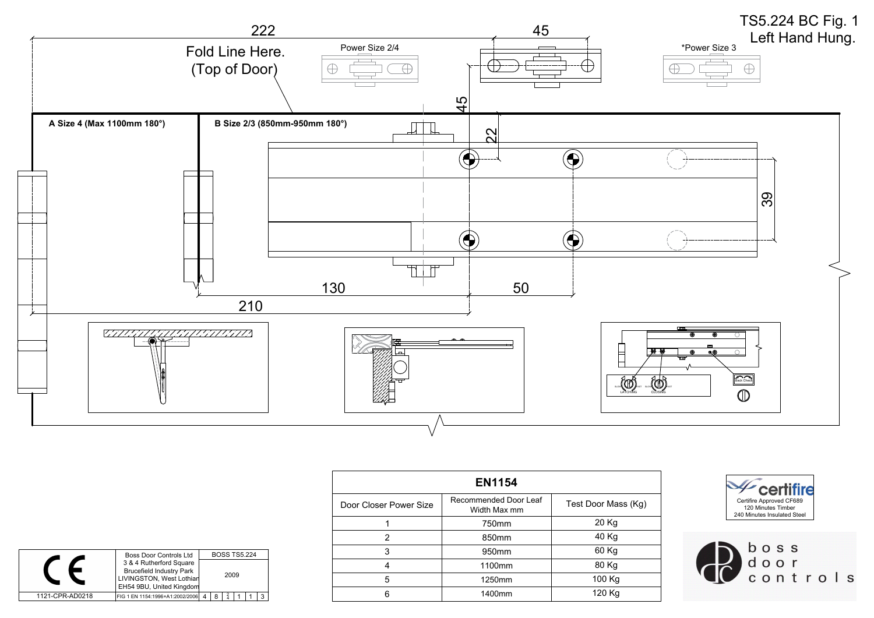| <b>EN1154</b>          |                                       |                     |                                                     |
|------------------------|---------------------------------------|---------------------|-----------------------------------------------------|
| Door Closer Power Size | Recommended Door Leaf<br>Width Max mm | Test Door Mass (Kg) | Certifire Approv<br>120 Minutes<br>240 Minutes Inst |
|                        | 750mm                                 | 20 Kg               |                                                     |
| ົ                      | 850mm                                 | 40 Kg               |                                                     |
| 3                      | 950mm                                 | 60 Kg               | b o                                                 |
| 4                      | 1100mm                                | 80 Kg               | <b>CP</b>                                           |
| 5                      | 1250mm                                | 100 Kg              | $\overline{c}$ $\overline{o}$                       |
| 6                      | 1400mm                                | 120 Kg              |                                                     |



|                 | <b>Boss Door Controls Ltd</b>                              | <b>BOSS TS5.224</b> |  |
|-----------------|------------------------------------------------------------|---------------------|--|
|                 | 3 & 4 Rutherford Square<br><b>Brucefield Industry Park</b> | 2009                |  |
|                 | LIVINGSTON, West Lothian<br>EH54 9BU, United Kingdom       |                     |  |
| 1121-CPR-AD0218 | FIG 1 EN 1154:1996+A1:2002/2006                            | 8<br>$\Delta$       |  |